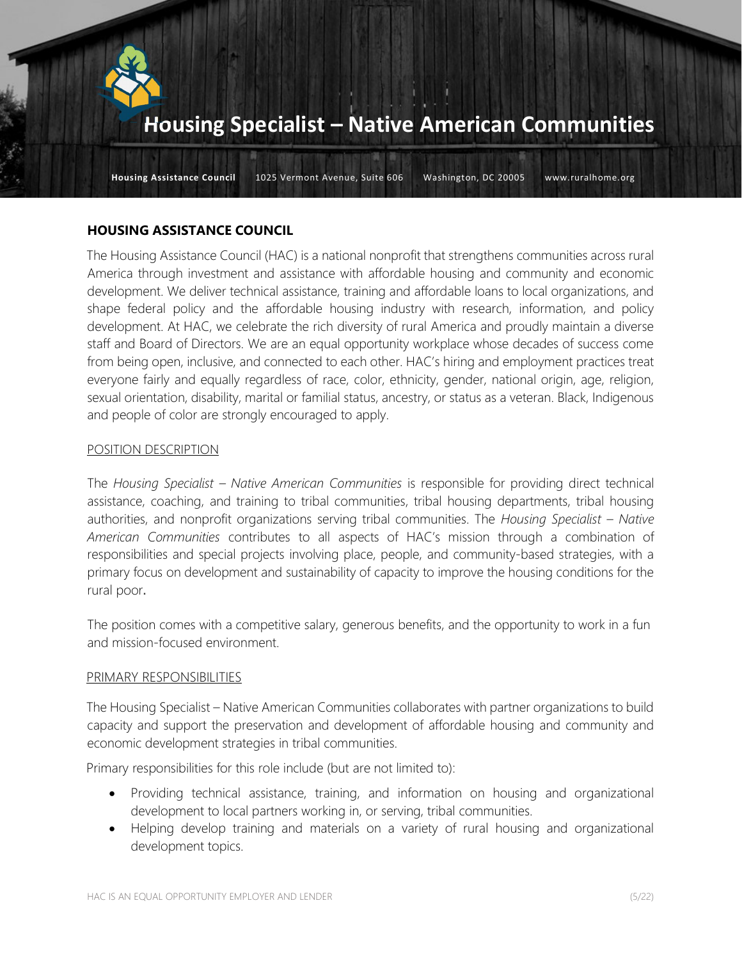

Housing Assistance Council 1025 Vermont Avenue, Suite 606 Washington, DC 20005 www.ruralhome.org

#### HOUSING ASSISTANCE COUNCIL

The Housing Assistance Council (HAC) is a national nonprofit that strengthens communities across rural America through investment and assistance with affordable housing and community and economic development. We deliver technical assistance, training and affordable loans to local organizations, and shape federal policy and the affordable housing industry with research, information, and policy development. At HAC, we celebrate the rich diversity of rural America and proudly maintain a diverse staff and Board of Directors. We are an equal opportunity workplace whose decades of success come from being open, inclusive, and connected to each other. HAC's hiring and employment practices treat everyone fairly and equally regardless of race, color, ethnicity, gender, national origin, age, religion, sexual orientation, disability, marital or familial status, ancestry, or status as a veteran. Black, Indigenous and people of color are strongly encouraged to apply.

#### POSITION DESCRIPTION

The Housing Specialist – Native American Communities is responsible for providing direct technical assistance, coaching, and training to tribal communities, tribal housing departments, tribal housing authorities, and nonprofit organizations serving tribal communities. The Housing Specialist - Native American Communities contributes to all aspects of HAC's mission through a combination of responsibilities and special projects involving place, people, and community-based strategies, with a primary focus on development and sustainability of capacity to improve the housing conditions for the rural poor.

The position comes with a competitive salary, generous benefits, and the opportunity to work in a fun and mission-focused environment.

#### PRIMARY RESPONSIBILITIES

The Housing Specialist – Native American Communities collaborates with partner organizations to build capacity and support the preservation and development of affordable housing and community and economic development strategies in tribal communities.

Primary responsibilities for this role include (but are not limited to):

- Providing technical assistance, training, and information on housing and organizational development to local partners working in, or serving, tribal communities.
- Helping develop training and materials on a variety of rural housing and organizational development topics.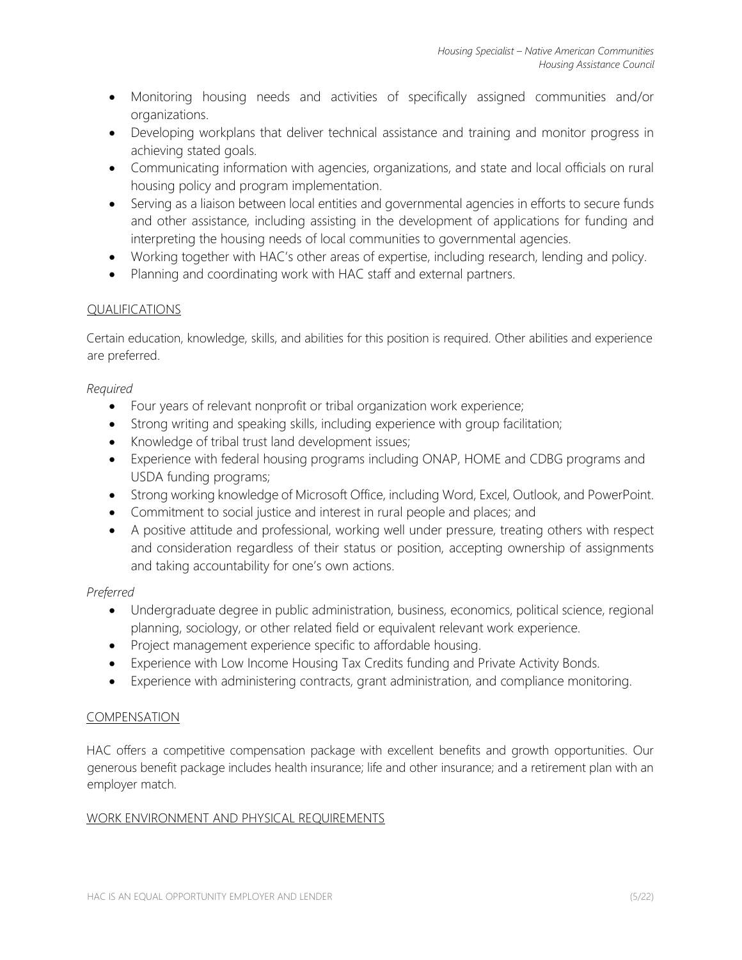- Monitoring housing needs and activities of specifically assigned communities and/or organizations.
- Developing workplans that deliver technical assistance and training and monitor progress in achieving stated goals.
- Communicating information with agencies, organizations, and state and local officials on rural housing policy and program implementation.
- Serving as a liaison between local entities and governmental agencies in efforts to secure funds and other assistance, including assisting in the development of applications for funding and interpreting the housing needs of local communities to governmental agencies.
- Working together with HAC's other areas of expertise, including research, lending and policy.
- Planning and coordinating work with HAC staff and external partners.

# QUALIFICATIONS

Certain education, knowledge, skills, and abilities for this position is required. Other abilities and experience are preferred.

### Required

- Four years of relevant nonprofit or tribal organization work experience;
- Strong writing and speaking skills, including experience with group facilitation;
- Knowledge of tribal trust land development issues;
- Experience with federal housing programs including ONAP, HOME and CDBG programs and USDA funding programs;
- Strong working knowledge of Microsoft Office, including Word, Excel, Outlook, and PowerPoint.
- Commitment to social justice and interest in rural people and places; and
- A positive attitude and professional, working well under pressure, treating others with respect and consideration regardless of their status or position, accepting ownership of assignments and taking accountability for one's own actions.

# Preferred

- Undergraduate degree in public administration, business, economics, political science, regional planning, sociology, or other related field or equivalent relevant work experience.
- Project management experience specific to affordable housing.
- Experience with Low Income Housing Tax Credits funding and Private Activity Bonds.
- Experience with administering contracts, grant administration, and compliance monitoring.

#### COMPENSATION

HAC offers a competitive compensation package with excellent benefits and growth opportunities. Our generous benefit package includes health insurance; life and other insurance; and a retirement plan with an employer match.

### WORK ENVIRONMENT AND PHYSICAL REQUIREMENTS